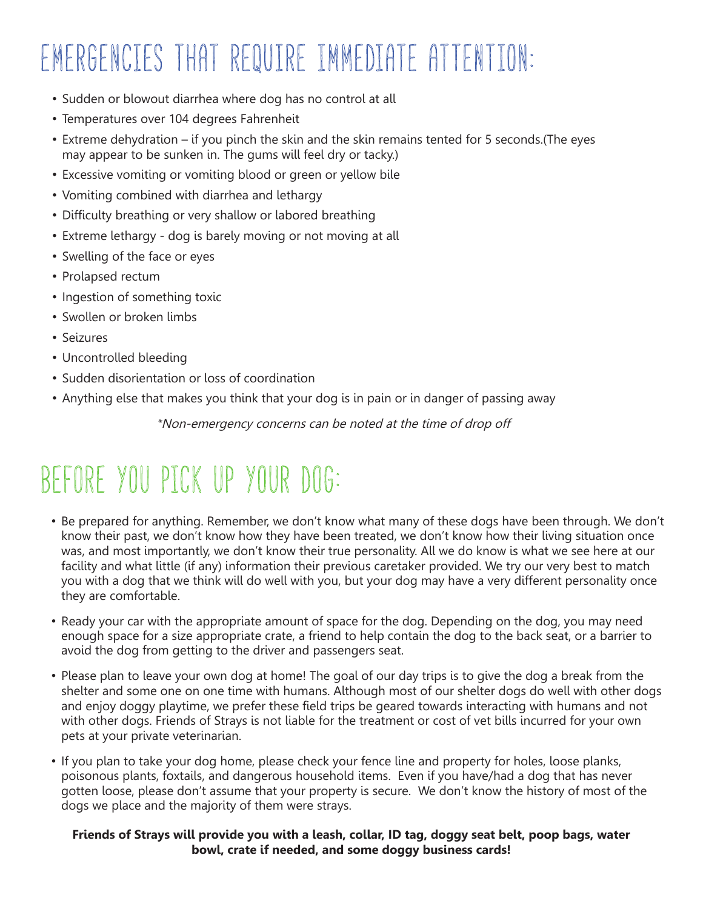# EMERGENCIES THAT REQUIRE IMMEDIATE ATTENTION:

- Sudden or blowout diarrhea where dog has no control at all
- Temperatures over 104 degrees Fahrenheit
- Extreme dehydration if you pinch the skin and the skin remains tented for 5 seconds.(The eyes may appear to be sunken in. The gums will feel dry or tacky.)
- Excessive vomiting or vomiting blood or green or yellow bile
- Vomiting combined with diarrhea and lethargy
- Difficulty breathing or very shallow or labored breathing
- Extreme lethargy dog is barely moving or not moving at all
- Swelling of the face or eyes
- Prolapsed rectum
- Ingestion of something toxic
- Swollen or broken limbs
- Seizures
- Uncontrolled bleeding
- Sudden disorientation or loss of coordination
- Anything else that makes you think that your dog is in pain or in danger of passing away

*\**Non-emergency concerns can be noted at the time of drop off

### BEFORE YOU PICK UP YOUR DOG:

- Be prepared for anything. Remember, we don't know what many of these dogs have been through. We don't know their past, we don't know how they have been treated, we don't know how their living situation once was, and most importantly, we don't know their true personality. All we do know is what we see here at our facility and what little (if any) information their previous caretaker provided. We try our very best to match you with a dog that we think will do well with you, but your dog may have a very different personality once they are comfortable.
- Ready your car with the appropriate amount of space for the dog. Depending on the dog, you may need enough space for a size appropriate crate, a friend to help contain the dog to the back seat, or a barrier to avoid the dog from getting to the driver and passengers seat.
- Please plan to leave your own dog at home! The goal of our day trips is to give the dog a break from the shelter and some one on one time with humans. Although most of our shelter dogs do well with other dogs and enjoy doggy playtime, we prefer these field trips be geared towards interacting with humans and not with other dogs. Friends of Strays is not liable for the treatment or cost of vet bills incurred for your own pets at your private veterinarian.
- If you plan to take your dog home, please check your fence line and property for holes, loose planks, poisonous plants, foxtails, and dangerous household items. Even if you have/had a dog that has never gotten loose, please don't assume that your property is secure. We don't know the history of most of the dogs we place and the majority of them were strays.

#### **Friends of Strays will provide you with a leash, collar, ID tag, doggy seat belt, poop bags, water bowl, crate if needed, and some doggy business cards!**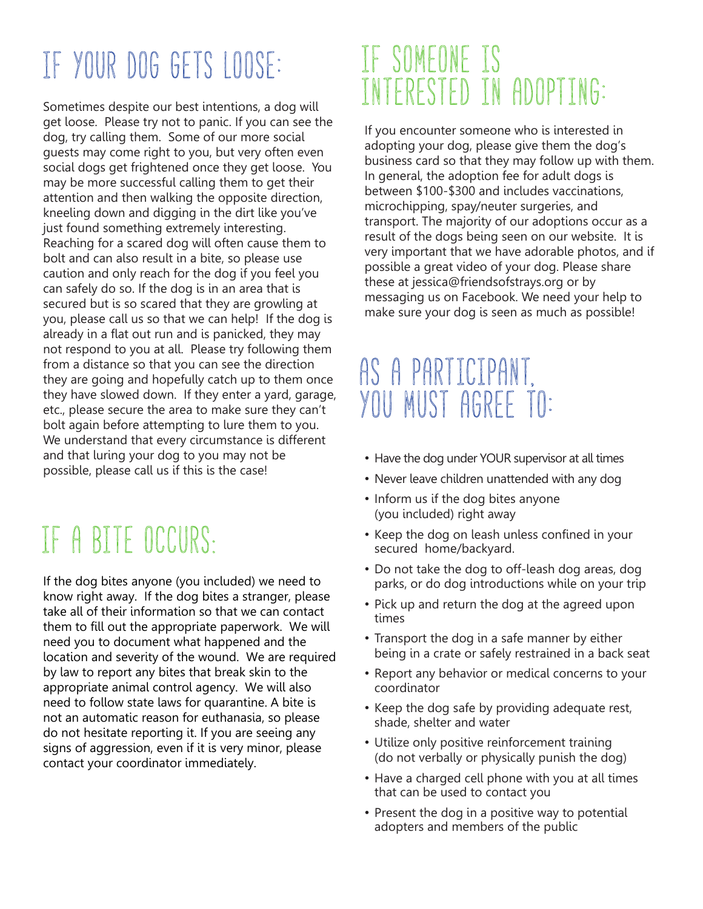## IF YOUR DOG GETS LOOSE:

Sometimes despite our best intentions, a dog will get loose. Please try not to panic. If you can see the dog, try calling them. Some of our more social guests may come right to you, but very often even social dogs get frightened once they get loose. You may be more successful calling them to get their attention and then walking the opposite direction, kneeling down and digging in the dirt like you've just found something extremely interesting. Reaching for a scared dog will often cause them to bolt and can also result in a bite, so please use caution and only reach for the dog if you feel you can safely do so. If the dog is in an area that is secured but is so scared that they are growling at you, please call us so that we can help! If the dog is already in a flat out run and is panicked, they may not respond to you at all. Please try following them from a distance so that you can see the direction they are going and hopefully catch up to them once they have slowed down. If they enter a yard, garage, etc., please secure the area to make sure they can't bolt again before attempting to lure them to you. We understand that every circumstance is different and that luring your dog to you may not be possible, please call us if this is the case!

## IF A BITE OCCURS:

If the dog bites anyone (you included) we need to know right away. If the dog bites a stranger, please take all of their information so that we can contact them to fill out the appropriate paperwork. We will need you to document what happened and the location and severity of the wound. We are required by law to report any bites that break skin to the appropriate animal control agency. We will also need to follow state laws for quarantine. A bite is not an automatic reason for euthanasia, so please do not hesitate reporting it. If you are seeing any signs of aggression, even if it is very minor, please contact your coordinator immediately.

### IF SOMEONE IS INTERESTED IN ADOPTING:

If you encounter someone who is interested in adopting your dog, please give them the dog's business card so that they may follow up with them. In general, the adoption fee for adult dogs is between \$100-\$300 and includes vaccinations, microchipping, spay/neuter surgeries, and transport. The majority of our adoptions occur as a result of the dogs being seen on our website. It is very important that we have adorable photos, and if possible a great video of your dog. Please share these at jessica@friendsofstrays.org or by messaging us on Facebook. We need your help to make sure your dog is seen as much as possible!

### AS A PARTICIPANT. YOU MUST AGREE TO:

- Have the dog under YOUR supervisor at all times
- Never leave children unattended with any dog
- Inform us if the dog bites anyone (you included) right away
- Keep the dog on leash unless confined in your secured home/backyard.
- Do not take the dog to off-leash dog areas, dog parks, or do dog introductions while on your trip
- Pick up and return the dog at the agreed upon times
- Transport the dog in a safe manner by either being in a crate or safely restrained in a back seat
- Report any behavior or medical concerns to your coordinator
- Keep the dog safe by providing adequate rest, shade, shelter and water
- Utilize only positive reinforcement training (do not verbally or physically punish the dog)
- Have a charged cell phone with you at all times that can be used to contact you
- Present the dog in a positive way to potential adopters and members of the public